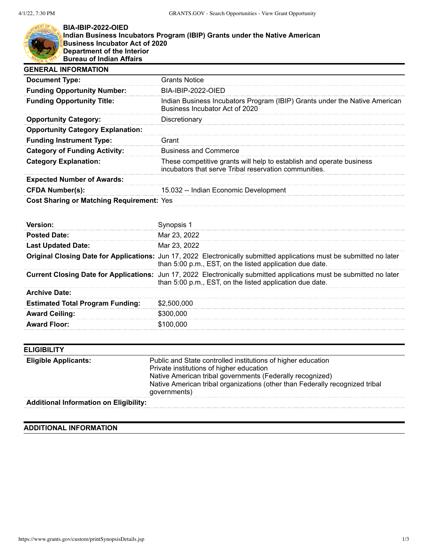

## **BIA-IBIP-2022-OIED Indian Business Incubators Program (IBIP) Grants under the Native American Business Incubator Act of 2020 Department of the Interior Bureau of Indian Affairs**

| <b>GENERAL INFORMATION</b>                       |                                                                                                                               |
|--------------------------------------------------|-------------------------------------------------------------------------------------------------------------------------------|
| <b>Document Type:</b>                            | <b>Grants Notice</b>                                                                                                          |
| <b>Funding Opportunity Number:</b>               | BIA-IBIP-2022-OIED                                                                                                            |
| <b>Funding Opportunity Title:</b>                | Indian Business Incubators Program (IBIP) Grants under the Native American<br>Business Incubator Act of 2020                  |
| <b>Opportunity Category:</b>                     | Discretionary                                                                                                                 |
| <b>Opportunity Category Explanation:</b>         |                                                                                                                               |
| <b>Funding Instrument Type:</b>                  | Grant                                                                                                                         |
| <b>Category of Funding Activity:</b>             | <b>Business and Commerce</b>                                                                                                  |
| <b>Category Explanation:</b>                     | These competitive grants will help to establish and operate business<br>incubators that serve Tribal reservation communities. |
| <b>Expected Number of Awards:</b>                |                                                                                                                               |
| <b>CFDA Number(s):</b>                           | 15.032 -- Indian Economic Development                                                                                         |
| <b>Cost Sharing or Matching Requirement: Yes</b> |                                                                                                                               |

| version:                                |                                                                                                                                                                                   |
|-----------------------------------------|-----------------------------------------------------------------------------------------------------------------------------------------------------------------------------------|
| <b>Posted Date:</b>                     | Mar 23, 2022                                                                                                                                                                      |
| <b>Last Updated Date:</b>               | Mar 23, 2022                                                                                                                                                                      |
|                                         | Original Closing Date for Applications: Jun 17, 2022 Electronically submitted applications must be submitted no later<br>than 5:00 p.m., EST, on the listed application due date. |
|                                         | Current Closing Date for Applications: Jun 17, 2022 Electronically submitted applications must be submitted no later<br>than 5:00 p.m., EST, on the listed application due date.  |
| <b>Archive Date:</b>                    |                                                                                                                                                                                   |
| <b>Estimated Total Program Funding:</b> | \$2,500,000                                                                                                                                                                       |
| <b>Award Ceiling:</b>                   | \$300,000                                                                                                                                                                         |
| <b>Award Floor:</b>                     | \$100.000                                                                                                                                                                         |

| <b>ELIGIBILITY</b>                            |                                                                                                                                                                                                                                                                       |
|-----------------------------------------------|-----------------------------------------------------------------------------------------------------------------------------------------------------------------------------------------------------------------------------------------------------------------------|
| <b>Eligible Applicants:</b>                   | Public and State controlled institutions of higher education<br>Private institutions of higher education<br>Native American tribal governments (Federally recognized)<br>Native American tribal organizations (other than Federally recognized tribal<br>governments) |
| <b>Additional Information on Eligibility:</b> |                                                                                                                                                                                                                                                                       |

## **ADDITIONAL INFORMATION**